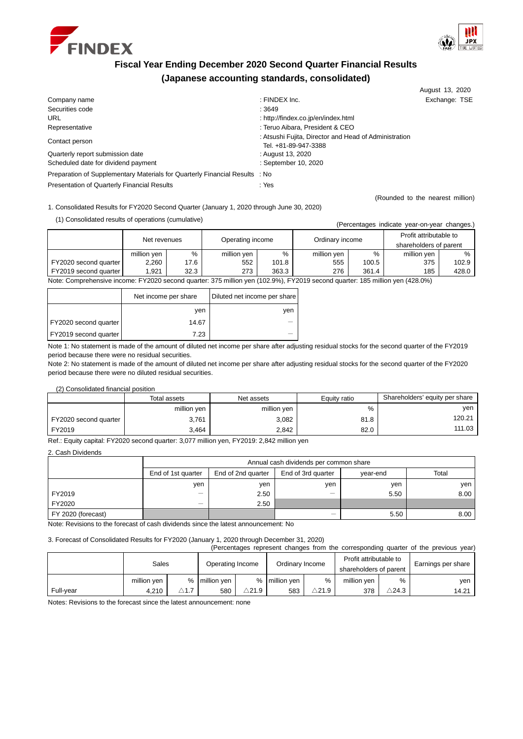



# **Fiscal Year Ending December 2020 Second Quarter Financial Results (Japanese accounting standards, consolidated)**

|                                                                             |                                                                               | August 13, 2020                  |
|-----------------------------------------------------------------------------|-------------------------------------------------------------------------------|----------------------------------|
| Company name                                                                | $:$ FINDEX Inc.                                                               | Exchange: TSE                    |
| Securities code                                                             | : 3649                                                                        |                                  |
| URL                                                                         | : http://findex.co.jp/en/index.html                                           |                                  |
| Representative                                                              | : Teruo Aibara, President & CEO                                               |                                  |
| Contact person                                                              | : Atsushi Fujita, Director and Head of Administration<br>Tel. +81-89-947-3388 |                                  |
| Quarterly report submission date                                            | : August 13, 2020                                                             |                                  |
| Scheduled date for dividend payment                                         | : September 10, 2020                                                          |                                  |
| Preparation of Supplementary Materials for Quarterly Financial Results : No |                                                                               |                                  |
| Presentation of Quarterly Financial Results                                 | : Yes                                                                         |                                  |
|                                                                             |                                                                               | (Rounded to the nearest million) |

1. Consolidated Results for FY2020 Second Quarter (January 1, 2020 through June 30, 2020)

(1) Consolidated results of operations (cumulative) (Percentages indicate year-on-year-on-year-on-year changes.)

|                                                                                                                             |                                  |      |                 |       |                        |       | (Percentages indicate year-on-year changes.) |       |
|-----------------------------------------------------------------------------------------------------------------------------|----------------------------------|------|-----------------|-------|------------------------|-------|----------------------------------------------|-------|
|                                                                                                                             | Operating income<br>Net revenues |      | Ordinary income |       | Profit attributable to |       |                                              |       |
|                                                                                                                             |                                  |      |                 |       |                        |       | shareholders of parent                       |       |
|                                                                                                                             | million yen                      | %    | million yen     | %     | million yen            | $\%$  | million yen                                  | $\%$  |
| FY2020 second quarter                                                                                                       | 2.260                            | 17.6 | 552             | 101.8 | 555                    | 100.5 | 375                                          | 102.9 |
| FY2019 second quarter                                                                                                       | 1.921                            | 32.3 | 273             | 363.3 | 276                    | 361.4 | 185                                          | 428.0 |
| Note: Comprehensive income: FY2020 second quarter: 375 million ven (102.9%) FY2019 second quarter: 185 million ven (428.0%) |                                  |      |                 |       |                        |       |                                              |       |

Note: Comprehensive income: FY2020 second quarter: 375 million yen (102.9%), FY2019 second quarter: 185 million yen (428.0%)

|                       | Net income per share | Diluted net income per share |
|-----------------------|----------------------|------------------------------|
|                       | ven                  | ven                          |
| FY2020 second quarter | 14.67                |                              |
| FY2019 second quarter | 7.23                 |                              |

Note 1: No statement is made of the amount of diluted net income per share after adjusting residual stocks for the second quarter of the FY2019 period because there were no residual securities.

Note 2: No statement is made of the amount of diluted net income per share after adjusting residual stocks for the second quarter of the FY2020 period because there were no diluted residual securities.

(2) Consolidated financial position

|                       | Total assets | Net assets  | Equity ratio | Shareholders' equity per share |
|-----------------------|--------------|-------------|--------------|--------------------------------|
|                       | million yen  | million yen | %            | ven                            |
| FY2020 second quarter | 3,761        | 3.082       | 81.8         | 120.21                         |
| FY2019                | 3.464        | 2.842       | 82.0         | 111.03                         |

Ref.: Equity capital: FY2020 second quarter: 3,077 million yen, FY2019: 2,842 million yen

2. Cash Dividends

|                    |                                                                            | Annual cash dividends per common share |                          |      |      |  |  |  |  |  |
|--------------------|----------------------------------------------------------------------------|----------------------------------------|--------------------------|------|------|--|--|--|--|--|
|                    | End of 2nd quarter<br>End of 3rd quarter<br>End of 1st quarter<br>vear-end |                                        |                          |      |      |  |  |  |  |  |
|                    | ven                                                                        | ven                                    | ven                      | ven  | ven  |  |  |  |  |  |
| FY2019             | -                                                                          | 2.50                                   | $\overline{\phantom{a}}$ | 5.50 | 8.00 |  |  |  |  |  |
| FY2020             | -                                                                          | 2.50                                   |                          |      |      |  |  |  |  |  |
| FY 2020 (forecast) |                                                                            |                                        | _                        | 5.50 | 8.00 |  |  |  |  |  |

Note: Revisions to the forecast of cash dividends since the latest announcement: No

3. Forecast of Consolidated Results for FY2020 (January 1, 2020 through December 31, 2020)

| (Percentages represent changes from the corresponding quarter of the previous year) |             |                 |                  |               |                 |                  |                                                  |                  |                    |
|-------------------------------------------------------------------------------------|-------------|-----------------|------------------|---------------|-----------------|------------------|--------------------------------------------------|------------------|--------------------|
|                                                                                     | Sales       |                 | Operating Income |               | Ordinary Income |                  | Profit attributable to<br>shareholders of parent |                  | Earnings per share |
|                                                                                     | million yen |                 | % million yen    |               | % I million ven | $\%$             | million yen                                      | %                | ven                |
| Full-vear                                                                           | 4.210       | $\triangle$ 1.7 | 580              | $\wedge$ 21.9 | 583             | $\triangle$ 21.9 | 378                                              | $\triangle$ 24.3 | 14.21              |

Notes: Revisions to the forecast since the latest announcement: none